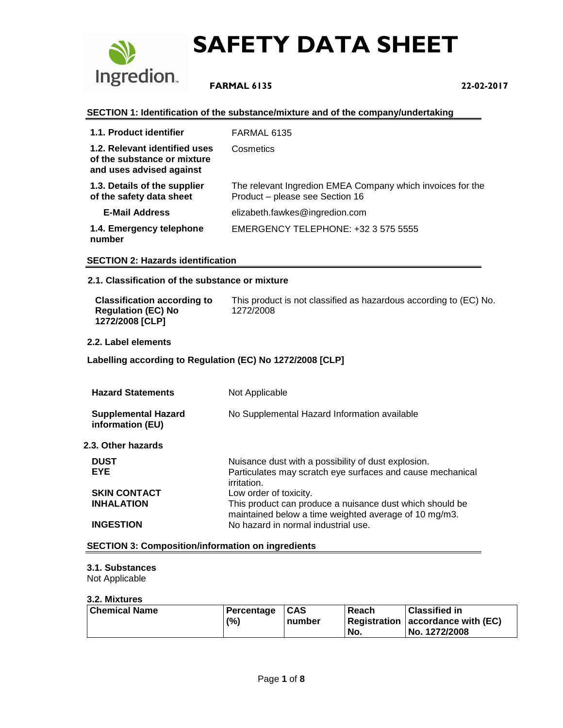

 **FARMAL 6135 22-02-2017**

#### **SECTION 1: Identification of the substance/mixture and of the company/undertaking**

| 1.1. Product identifier                                                                  | FARMAL 6135                                                                                   |
|------------------------------------------------------------------------------------------|-----------------------------------------------------------------------------------------------|
| 1.2. Relevant identified uses<br>of the substance or mixture<br>and uses advised against | Cosmetics                                                                                     |
| 1.3. Details of the supplier<br>of the safety data sheet                                 | The relevant Ingredion EMEA Company which invoices for the<br>Product - please see Section 16 |
| <b>E-Mail Address</b>                                                                    | elizabeth.fawkes@ingredion.com                                                                |
| 1.4. Emergency telephone<br>number                                                       | EMERGENCY TELEPHONE: +32 3 575 5555                                                           |

#### **SECTION 2: Hazards identification**

#### **2.1. Classification of the substance or mixture**

| <b>Classification according to</b>           | This product is not classified as hazardous according to (EC) No. |
|----------------------------------------------|-------------------------------------------------------------------|
| <b>Regulation (EC) No</b><br>1272/2008 [CLP] | 1272/2008                                                         |

#### **2.2. Label elements**

#### **Labelling according to Regulation (EC) No 1272/2008 [CLP]**

| <b>Hazard Statements</b>                       | Not Applicable                                                                                                                   |
|------------------------------------------------|----------------------------------------------------------------------------------------------------------------------------------|
| <b>Supplemental Hazard</b><br>information (EU) | No Supplemental Hazard Information available                                                                                     |
| 2.3. Other hazards                             |                                                                                                                                  |
| <b>DUST</b><br><b>EYE</b>                      | Nuisance dust with a possibility of dust explosion.<br>Particulates may scratch eye surfaces and cause mechanical<br>irritation. |
| <b>SKIN CONTACT</b>                            | Low order of toxicity.                                                                                                           |
| <b>INHALATION</b>                              | This product can produce a nuisance dust which should be<br>maintained below a time weighted average of 10 mg/m3.                |
| <b>INGESTION</b>                               | No hazard in normal industrial use.                                                                                              |

#### **SECTION 3: Composition/information on ingredients**

#### **3.1. Substances**

Not Applicable

#### **3.2. Mixtures**

| Chemical Name | Percentage | $1CAS$ | Reach | <b>Classified in</b>              |
|---------------|------------|--------|-------|-----------------------------------|
|               | (%)        | number |       | Registration accordance with (EC) |
|               |            |        | No.   | No. 1272/2008                     |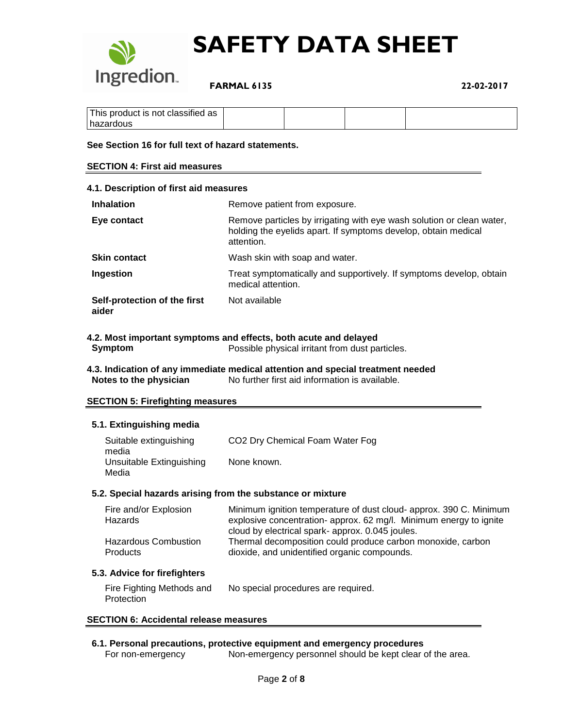

 **FARMAL 6135 22-02-2017**

| This product is not classified as |  |  |
|-----------------------------------|--|--|
| hazardous                         |  |  |

#### **See Section 16 for full text of hazard statements.**

#### **SECTION 4: First aid measures**

| 4.1. Description of first aid measures |                                                                                                                                                       |  |  |
|----------------------------------------|-------------------------------------------------------------------------------------------------------------------------------------------------------|--|--|
| <b>Inhalation</b>                      | Remove patient from exposure.                                                                                                                         |  |  |
| Eye contact                            | Remove particles by irrigating with eye wash solution or clean water,<br>holding the eyelids apart. If symptoms develop, obtain medical<br>attention. |  |  |
| <b>Skin contact</b>                    | Wash skin with soap and water.                                                                                                                        |  |  |
| Ingestion                              | Treat symptomatically and supportively. If symptoms develop, obtain<br>medical attention.                                                             |  |  |
| Self-protection of the first<br>aider  | Not available                                                                                                                                         |  |  |

#### **4.2. Most important symptoms and effects, both acute and delayed**

**Symptom** Possible physical irritant from dust particles.

**4.3. Indication of any immediate medical attention and special treatment needed Notes to the physician** No further first aid information is available.

#### **SECTION 5: Firefighting measures**

#### **5.1. Extinguishing media**

| Suitable extinguishing   | CO <sub>2</sub> Dry Chemical Foam Water Fog |
|--------------------------|---------------------------------------------|
| media                    |                                             |
| Unsuitable Extinguishing | None known.                                 |
| Media                    |                                             |

#### **5.2. Special hazards arising from the substance or mixture**

| Fire and/or Explosion                          | Minimum ignition temperature of dust cloud- approx. 390 C. Minimum                                                                                              |
|------------------------------------------------|-----------------------------------------------------------------------------------------------------------------------------------------------------------------|
| Hazards                                        | explosive concentration- approx. 62 mg/l. Minimum energy to ignite                                                                                              |
| <b>Hazardous Combustion</b><br><b>Products</b> | cloud by electrical spark- approx. 0.045 joules.<br>Thermal decomposition could produce carbon monoxide, carbon<br>dioxide, and unidentified organic compounds. |

#### **5.3. Advice for firefighters**

| Fire Fighting Methods and | No special procedures are required. |
|---------------------------|-------------------------------------|
| Protection                |                                     |

#### **SECTION 6: Accidental release measures**

#### **6.1. Personal precautions, protective equipment and emergency procedures**

For non-emergency Non-emergency personnel should be kept clear of the area.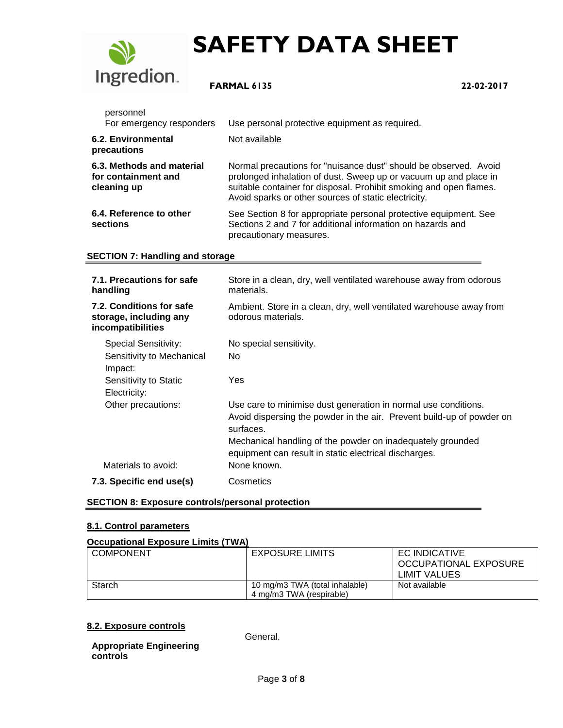

### **FARMAL 6135 22-02-2017**

| personnel<br>For emergency responders                           | Use personal protective equipment as required.                                                                                                                                                                                                                     |
|-----------------------------------------------------------------|--------------------------------------------------------------------------------------------------------------------------------------------------------------------------------------------------------------------------------------------------------------------|
| 6.2. Environmental<br>precautions                               | Not available                                                                                                                                                                                                                                                      |
| 6.3. Methods and material<br>for containment and<br>cleaning up | Normal precautions for "nuisance dust" should be observed. Avoid<br>prolonged inhalation of dust. Sweep up or vacuum up and place in<br>suitable container for disposal. Prohibit smoking and open flames.<br>Avoid sparks or other sources of static electricity. |
| 6.4. Reference to other<br>sections                             | See Section 8 for appropriate personal protective equipment. See<br>Sections 2 and 7 for additional information on hazards and<br>precautionary measures.                                                                                                          |

### **SECTION 7: Handling and storage**

| 7.1. Precautions for safe<br>handling                                   | Store in a clean, dry, well ventilated warehouse away from odorous<br>materials.                                                                                                                                                                                            |
|-------------------------------------------------------------------------|-----------------------------------------------------------------------------------------------------------------------------------------------------------------------------------------------------------------------------------------------------------------------------|
| 7.2. Conditions for safe<br>storage, including any<br>incompatibilities | Ambient. Store in a clean, dry, well ventilated warehouse away from<br>odorous materials.                                                                                                                                                                                   |
| <b>Special Sensitivity:</b><br>Sensitivity to Mechanical<br>Impact:     | No special sensitivity.<br>No.                                                                                                                                                                                                                                              |
| Sensitivity to Static<br>Electricity:                                   | Yes                                                                                                                                                                                                                                                                         |
| Other precautions:                                                      | Use care to minimise dust generation in normal use conditions.<br>Avoid dispersing the powder in the air. Prevent build-up of powder on<br>surfaces.<br>Mechanical handling of the powder on inadequately grounded<br>equipment can result in static electrical discharges. |
| Materials to avoid:                                                     | None known.                                                                                                                                                                                                                                                                 |
| 7.3. Specific end use(s)                                                | Cosmetics                                                                                                                                                                                                                                                                   |

#### **SECTION 8: Exposure controls/personal protection**

### **8.1. Control parameters**

#### **Occupational Exposure Limits (TWA)**

| COMPONENT | <b>EXPOSURE LIMITS</b>                                     | EC INDICATIVE<br>OCCUPATIONAL EXPOSURE<br>LIMIT VALUES |
|-----------|------------------------------------------------------------|--------------------------------------------------------|
| Starch    | 10 mg/m3 TWA (total inhalable)<br>4 mg/m3 TWA (respirable) | Not available                                          |
|           |                                                            |                                                        |

#### **8.2. Exposure controls**

**Appropriate Engineering controls**

General.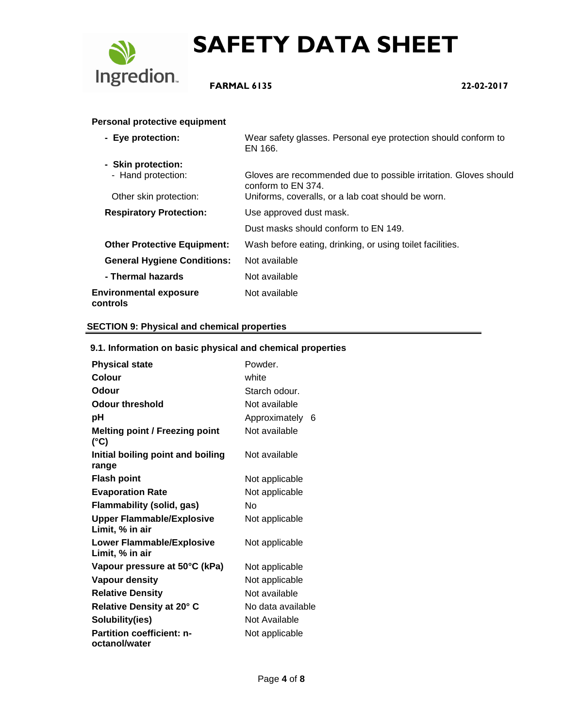

### **FARMAL 6135 22-02-2017**

### **Personal protective equipment**

| - Eye protection:                         | Wear safety glasses. Personal eye protection should conform to<br>EN 166.              |
|-------------------------------------------|----------------------------------------------------------------------------------------|
| - Skin protection:                        |                                                                                        |
| - Hand protection:                        | Gloves are recommended due to possible irritation. Gloves should<br>conform to EN 374. |
| Other skin protection:                    | Uniforms, coveralls, or a lab coat should be worn.                                     |
| <b>Respiratory Protection:</b>            | Use approved dust mask.                                                                |
|                                           | Dust masks should conform to EN 149.                                                   |
| <b>Other Protective Equipment:</b>        | Wash before eating, drinking, or using toilet facilities.                              |
| <b>General Hygiene Conditions:</b>        | Not available                                                                          |
| - Thermal hazards                         | Not available                                                                          |
| <b>Environmental exposure</b><br>controls | Not available                                                                          |

### **SECTION 9: Physical and chemical properties**

#### **9.1. Information on basic physical and chemical properties**

| <b>Physical state</b>                               | Powder.            |
|-----------------------------------------------------|--------------------|
| <b>Colour</b>                                       | white              |
| Odour                                               | Starch odour.      |
| <b>Odour threshold</b>                              | Not available      |
| рH                                                  | Approximately<br>6 |
| <b>Melting point / Freezing point</b><br>(°C)       | Not available      |
| Initial boiling point and boiling<br>range          | Not available      |
| <b>Flash point</b>                                  | Not applicable     |
| <b>Evaporation Rate</b>                             | Not applicable     |
| <b>Flammability (solid, gas)</b>                    | N٥                 |
| <b>Upper Flammable/Explosive</b><br>Limit, % in air | Not applicable     |
| <b>Lower Flammable/Explosive</b><br>Limit, % in air | Not applicable     |
| Vapour pressure at 50°C (kPa)                       | Not applicable     |
| <b>Vapour density</b>                               | Not applicable     |
| <b>Relative Density</b>                             | Not available      |
| Relative Density at 20° C                           | No data available  |
| Solubility(ies)                                     | Not Available      |
| <b>Partition coefficient: n-</b><br>octanol/water   | Not applicable     |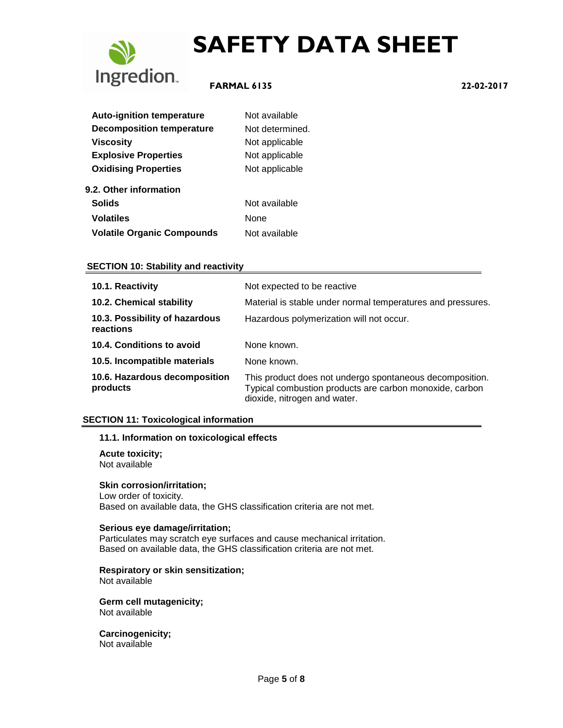

### **FARMAL 6135 22-02-2017**

| <b>Auto-ignition temperature</b>  | Not available   |
|-----------------------------------|-----------------|
| <b>Decomposition temperature</b>  | Not determined. |
| <b>Viscosity</b>                  | Not applicable  |
| <b>Explosive Properties</b>       | Not applicable  |
| <b>Oxidising Properties</b>       | Not applicable  |
| 9.2. Other information            |                 |
| <b>Solids</b>                     | Not available   |
| <b>Volatiles</b>                  | None            |
| <b>Volatile Organic Compounds</b> | Not available   |

#### **SECTION 10: Stability and reactivity**

| 10.1. Reactivity                            | Not expected to be reactive                                                                                                                         |
|---------------------------------------------|-----------------------------------------------------------------------------------------------------------------------------------------------------|
| 10.2. Chemical stability                    | Material is stable under normal temperatures and pressures.                                                                                         |
| 10.3. Possibility of hazardous<br>reactions | Hazardous polymerization will not occur.                                                                                                            |
| 10.4. Conditions to avoid                   | None known.                                                                                                                                         |
| 10.5. Incompatible materials                | None known.                                                                                                                                         |
| 10.6. Hazardous decomposition<br>products   | This product does not undergo spontaneous decomposition.<br>Typical combustion products are carbon monoxide, carbon<br>dioxide, nitrogen and water. |

#### **SECTION 11: Toxicological information**

#### **11.1. Information on toxicological effects**

**Acute toxicity;** Not available

#### **Skin corrosion/irritation;**

Low order of toxicity. Based on available data, the GHS classification criteria are not met.

#### **Serious eye damage/irritation;**

Particulates may scratch eye surfaces and cause mechanical irritation. Based on available data, the GHS classification criteria are not met.

**Respiratory or skin sensitization;** Not available

**Germ cell mutagenicity;** Not available

**Carcinogenicity;** Not available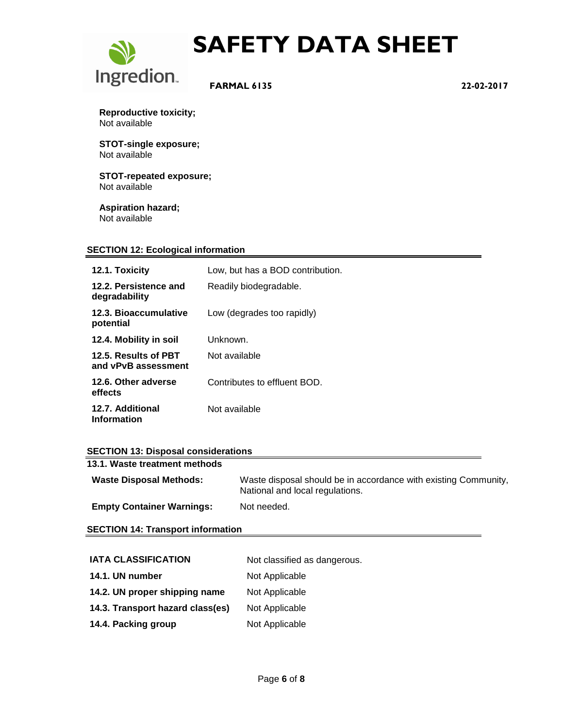

 **FARMAL 6135 22-02-2017**

**Reproductive toxicity;** Not available

**STOT-single exposure;** Not available

**STOT-repeated exposure;** Not available

**Aspiration hazard;** Not available

#### **SECTION 12: Ecological information**

| 12.1. Toxicity                              | Low, but has a BOD contribution. |
|---------------------------------------------|----------------------------------|
| 12.2. Persistence and<br>degradability      | Readily biodegradable.           |
| 12.3. Bioaccumulative<br>potential          | Low (degrades too rapidly)       |
| 12.4. Mobility in soil                      | Unknown.                         |
| 12.5. Results of PBT<br>and vPvB assessment | Not available                    |
| 12.6. Other adverse<br>effects              | Contributes to effluent BOD.     |
| 12.7. Additional<br><b>Information</b>      | Not available                    |

#### **SECTION 13: Disposal considerations**

| 13.1. Waste treatment methods    |                                                                                                    |
|----------------------------------|----------------------------------------------------------------------------------------------------|
| <b>Waste Disposal Methods:</b>   | Waste disposal should be in accordance with existing Community,<br>National and local regulations. |
| <b>Empty Container Warnings:</b> | Not needed.                                                                                        |

**SECTION 14: Transport information**

| <b>IATA CLASSIFICATION</b>       | Not classified as dangerous. |
|----------------------------------|------------------------------|
| 14.1. UN number                  | Not Applicable               |
| 14.2. UN proper shipping name    | Not Applicable               |
| 14.3. Transport hazard class(es) | Not Applicable               |
| 14.4. Packing group              | Not Applicable               |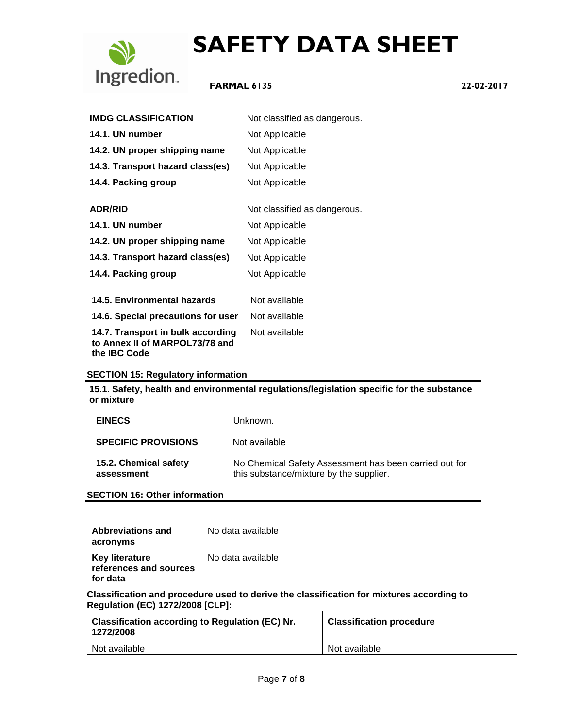

### **FARMAL 6135 22-02-2017**

| <b>IMDG CLASSIFICATION</b>                                                                 | Not classified as dangerous. |
|--------------------------------------------------------------------------------------------|------------------------------|
| 14.1. UN number                                                                            | Not Applicable               |
| 14.2. UN proper shipping name                                                              | Not Applicable               |
| 14.3. Transport hazard class(es)                                                           | Not Applicable               |
| 14.4. Packing group                                                                        | Not Applicable               |
| <b>ADR/RID</b>                                                                             | Not classified as dangerous. |
| 14.1. UN number                                                                            | Not Applicable               |
| 14.2. UN proper shipping name                                                              | Not Applicable               |
| 14.3. Transport hazard class(es)                                                           | Not Applicable               |
| 14.4. Packing group                                                                        | Not Applicable               |
| 14.5. Environmental hazards                                                                | Not available                |
| 14.6. Special precautions for user                                                         | Not available                |
| 14.7. Transport in bulk according<br>to Annex II of MARPOL73/78 and<br>the <b>IBC</b> Code | Not available                |

#### **SECTION 15: Regulatory information**

**15.1. Safety, health and environmental regulations/legislation specific for the substance or mixture**

| <b>EINECS</b>                       | Unknown.                                                                                          |
|-------------------------------------|---------------------------------------------------------------------------------------------------|
| <b>SPECIFIC PROVISIONS</b>          | Not available                                                                                     |
| 15.2. Chemical safety<br>assessment | No Chemical Safety Assessment has been carried out for<br>this substance/mixture by the supplier. |

**SECTION 16: Other information**

| Abbreviations and                                           | No data available |
|-------------------------------------------------------------|-------------------|
| acronyms                                                    |                   |
| <b>Key literature</b><br>references and sources<br>for data | No data available |

**Classification and procedure used to derive the classification for mixtures according to Regulation (EC) 1272/2008 [CLP]:**

| <b>Classification according to Regulation (EC) Nr.</b><br>1272/2008 | <b>Classification procedure</b> |
|---------------------------------------------------------------------|---------------------------------|
| Not available                                                       | Not available                   |